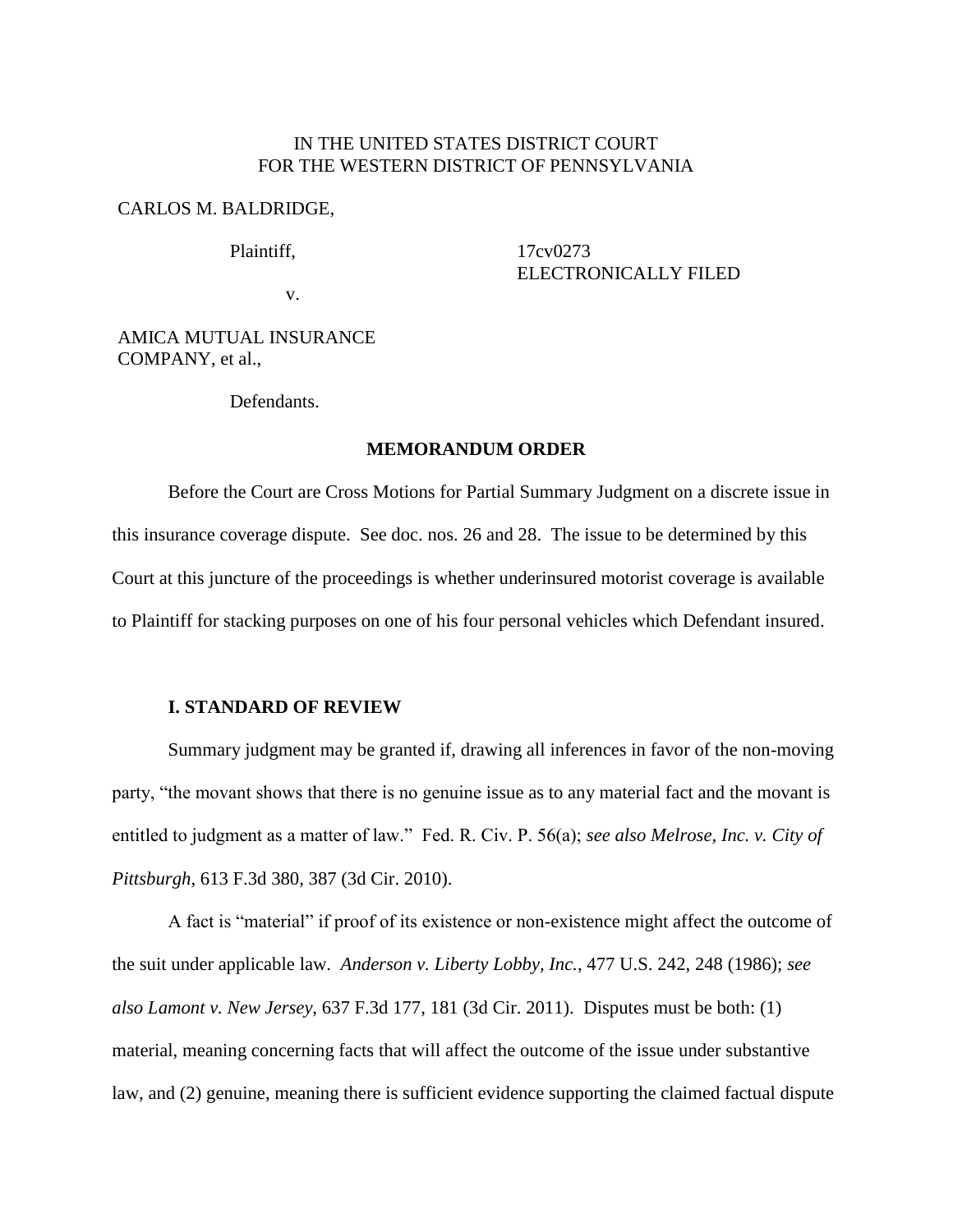## IN THE UNITED STATES DISTRICT COURT FOR THE WESTERN DISTRICT OF PENNSYLVANIA

## CARLOS M. BALDRIDGE,

Plaintiff,

17cv0273 ELECTRONICALLY FILED

v.

AMICA MUTUAL INSURANCE COMPANY, et al.,

Defendants.

#### **MEMORANDUM ORDER**

Before the Court are Cross Motions for Partial Summary Judgment on a discrete issue in this insurance coverage dispute. See doc. nos. 26 and 28. The issue to be determined by this Court at this juncture of the proceedings is whether underinsured motorist coverage is available to Plaintiff for stacking purposes on one of his four personal vehicles which Defendant insured.

#### **I. STANDARD OF REVIEW**

Summary judgment may be granted if, drawing all inferences in favor of the non-moving party, "the movant shows that there is no genuine issue as to any material fact and the movant is entitled to judgment as a matter of law." Fed. R. Civ. P. 56(a); *see also Melrose, Inc. v. City of Pittsburgh*, 613 F.3d 380, 387 (3d Cir. 2010).

A fact is "material" if proof of its existence or non-existence might affect the outcome of the suit under applicable law. *Anderson v. Liberty Lobby, Inc.*, 477 U.S. 242, 248 (1986); *see also Lamont v. New Jersey*, 637 F.3d 177, 181 (3d Cir. 2011). Disputes must be both: (1) material, meaning concerning facts that will affect the outcome of the issue under substantive law, and (2) genuine, meaning there is sufficient evidence supporting the claimed factual dispute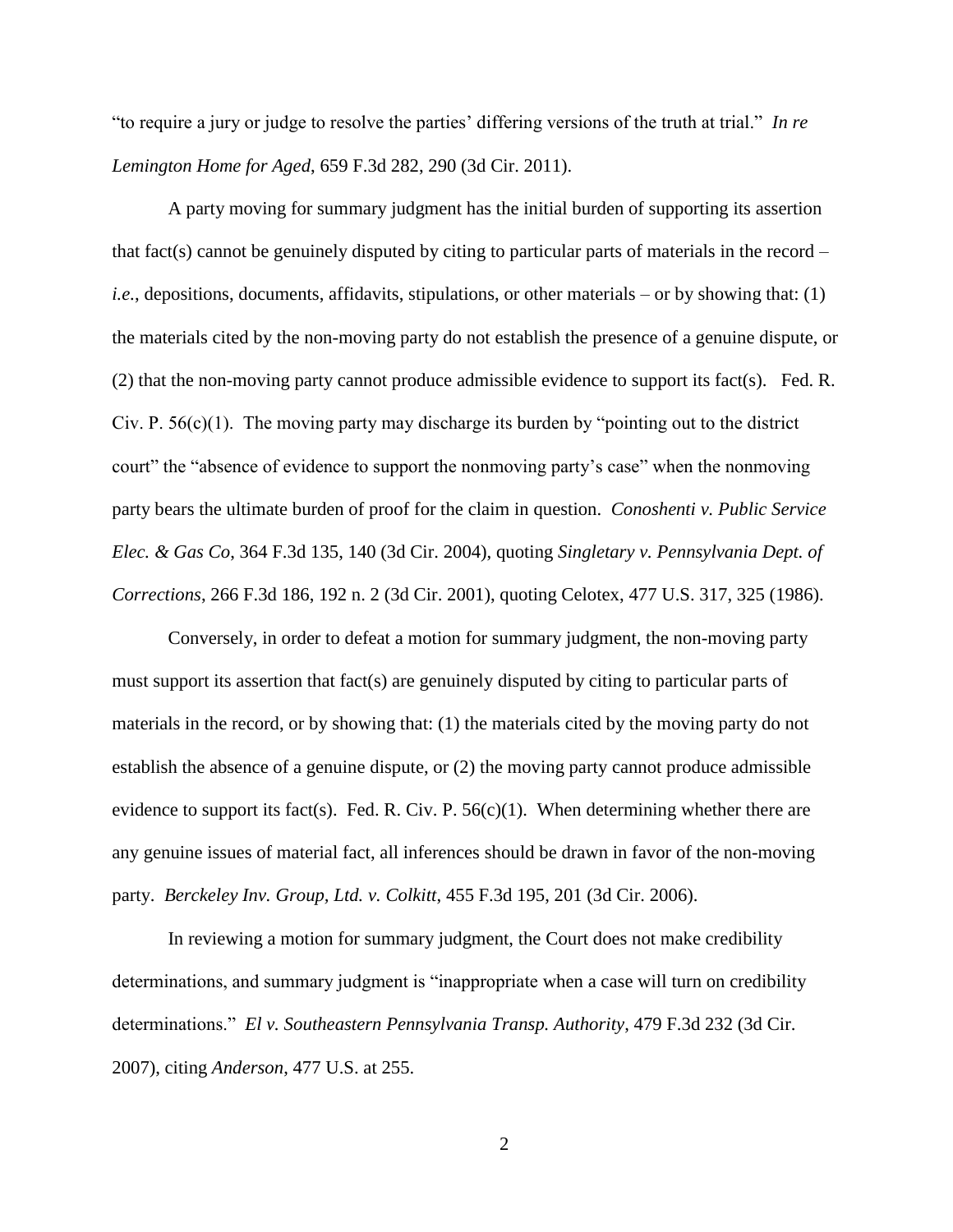"to require a jury or judge to resolve the parties' differing versions of the truth at trial." *In re Lemington Home for Aged*, 659 F.3d 282, 290 (3d Cir. 2011).

A party moving for summary judgment has the initial burden of supporting its assertion that fact(s) cannot be genuinely disputed by citing to particular parts of materials in the record  $$ *i.e.*, depositions, documents, affidavits, stipulations, or other materials – or by showing that: (1) the materials cited by the non-moving party do not establish the presence of a genuine dispute, or (2) that the non-moving party cannot produce admissible evidence to support its fact(s). Fed. R. Civ. P.  $56(c)(1)$ . The moving party may discharge its burden by "pointing out to the district court" the "absence of evidence to support the nonmoving party's case" when the nonmoving party bears the ultimate burden of proof for the claim in question. *Conoshenti v. Public Service Elec. & Gas Co*, 364 F.3d 135, 140 (3d Cir. 2004), quoting *Singletary v. Pennsylvania Dept. of Corrections*, 266 F.3d 186, 192 n. 2 (3d Cir. 2001), quoting Celotex, 477 U.S. 317, 325 (1986).

Conversely, in order to defeat a motion for summary judgment, the non-moving party must support its assertion that fact(s) are genuinely disputed by citing to particular parts of materials in the record, or by showing that: (1) the materials cited by the moving party do not establish the absence of a genuine dispute, or (2) the moving party cannot produce admissible evidence to support its fact(s). Fed. R. Civ. P.  $56(c)(1)$ . When determining whether there are any genuine issues of material fact, all inferences should be drawn in favor of the non-moving party. *Berckeley Inv. Group, Ltd. v. Colkitt*, 455 F.3d 195, 201 (3d Cir. 2006).

In reviewing a motion for summary judgment, the Court does not make credibility determinations, and summary judgment is "inappropriate when a case will turn on credibility determinations." *El v. Southeastern Pennsylvania Transp. Authority*, 479 F.3d 232 (3d Cir. 2007), citing *Anderson*, 477 U.S. at 255.

2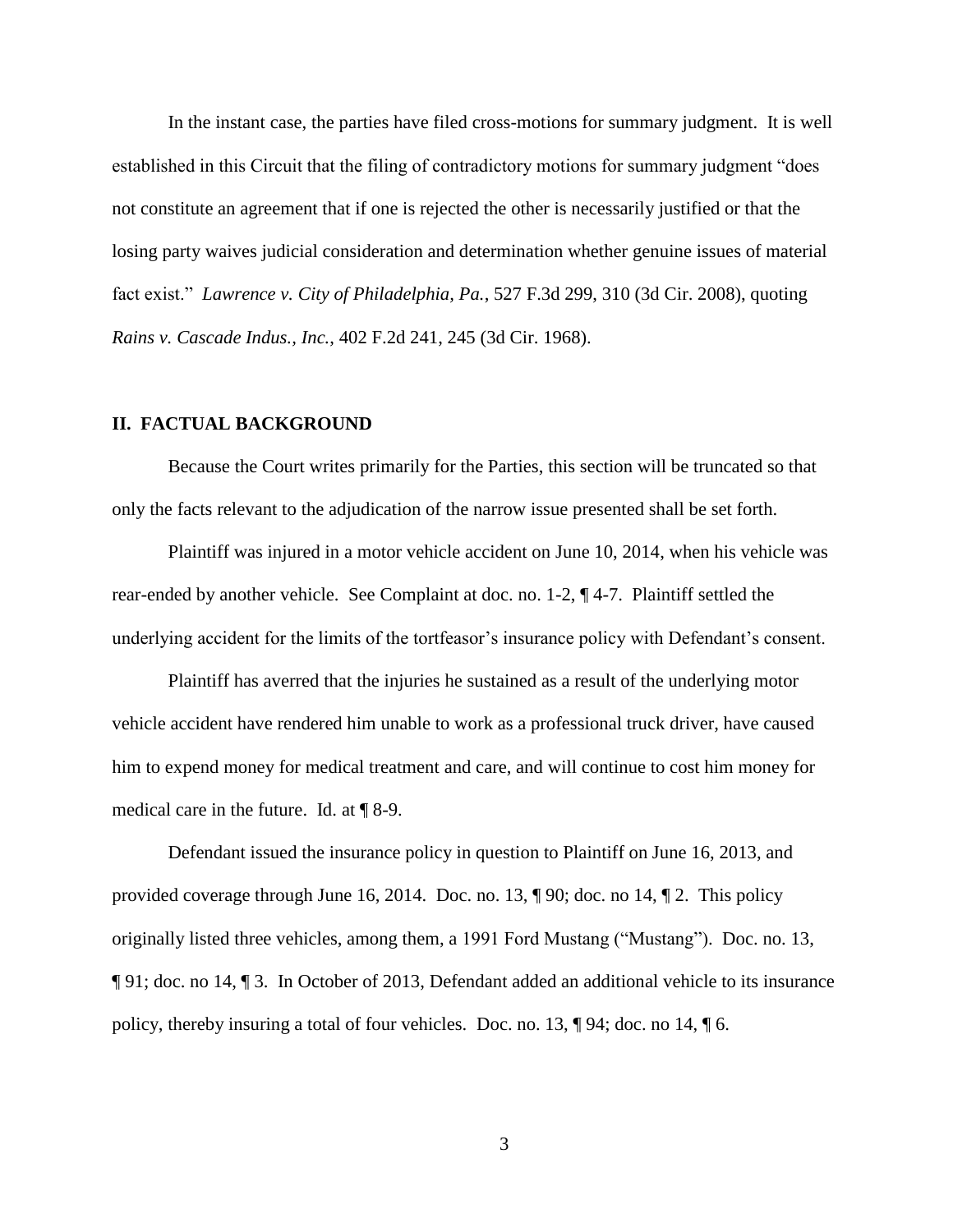In the instant case, the parties have filed cross-motions for summary judgment. It is well established in this Circuit that the filing of contradictory motions for summary judgment "does not constitute an agreement that if one is rejected the other is necessarily justified or that the losing party waives judicial consideration and determination whether genuine issues of material fact exist." *Lawrence v. City of Philadelphia, Pa.*, 527 F.3d 299, 310 (3d Cir. 2008), quoting *Rains v. Cascade Indus., Inc.*, 402 F.2d 241, 245 (3d Cir. 1968).

#### **II. FACTUAL BACKGROUND**

Because the Court writes primarily for the Parties, this section will be truncated so that only the facts relevant to the adjudication of the narrow issue presented shall be set forth.

Plaintiff was injured in a motor vehicle accident on June 10, 2014, when his vehicle was rear-ended by another vehicle. See Complaint at doc. no. 1-2, ¶ 4-7. Plaintiff settled the underlying accident for the limits of the tortfeasor's insurance policy with Defendant's consent.

Plaintiff has averred that the injuries he sustained as a result of the underlying motor vehicle accident have rendered him unable to work as a professional truck driver, have caused him to expend money for medical treatment and care, and will continue to cost him money for medical care in the future. Id. at ¶ 8-9.

Defendant issued the insurance policy in question to Plaintiff on June 16, 2013, and provided coverage through June 16, 2014. Doc. no. 13, ¶ 90; doc. no 14, ¶ 2. This policy originally listed three vehicles, among them, a 1991 Ford Mustang ("Mustang"). Doc. no. 13, ¶ 91; doc. no 14, ¶ 3. In October of 2013, Defendant added an additional vehicle to its insurance policy, thereby insuring a total of four vehicles. Doc. no. 13, ¶ 94; doc. no 14, ¶ 6.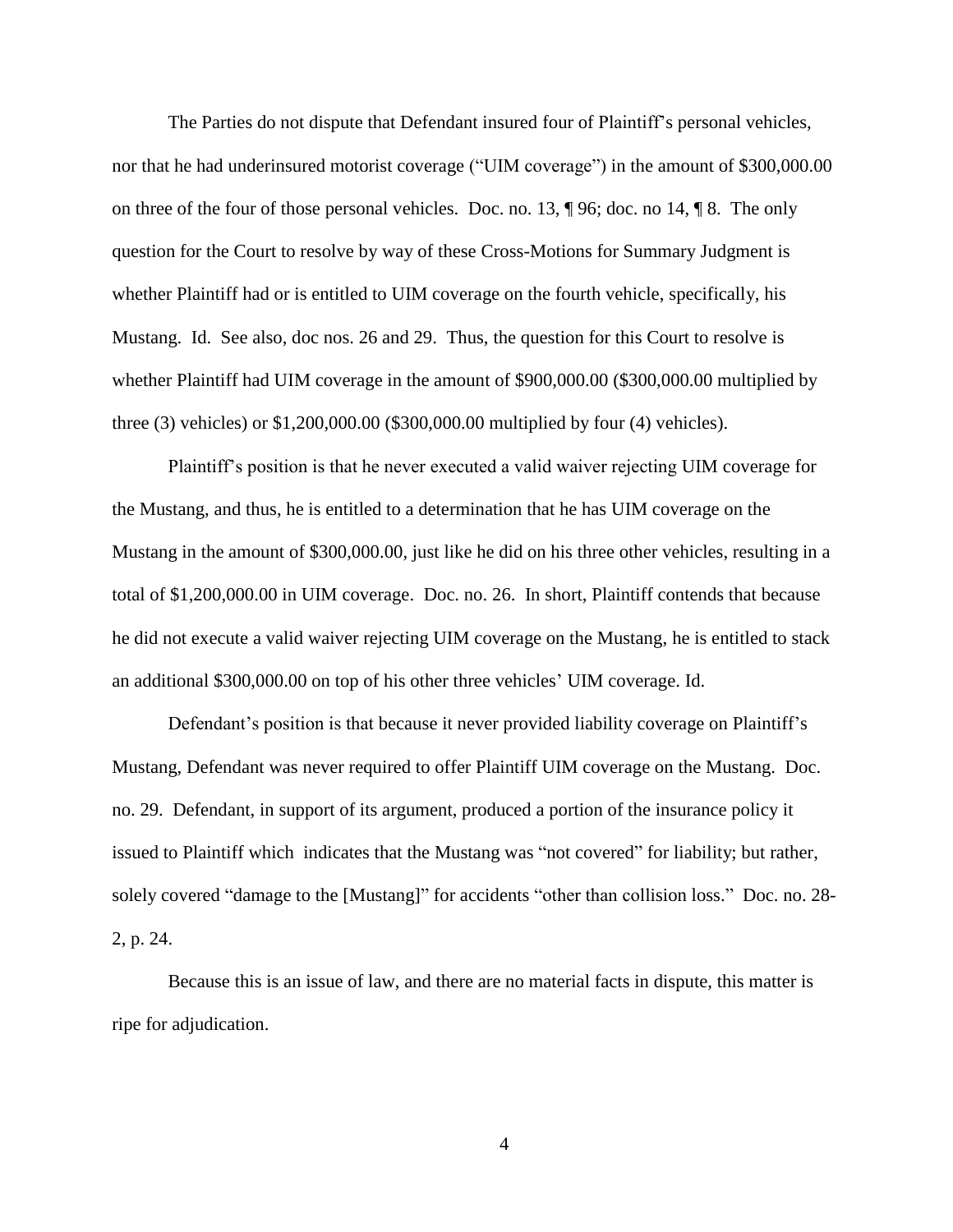The Parties do not dispute that Defendant insured four of Plaintiff's personal vehicles, nor that he had underinsured motorist coverage ("UIM coverage") in the amount of \$300,000.00 on three of the four of those personal vehicles. Doc. no. 13, ¶ 96; doc. no 14, ¶ 8. The only question for the Court to resolve by way of these Cross-Motions for Summary Judgment is whether Plaintiff had or is entitled to UIM coverage on the fourth vehicle, specifically, his Mustang. Id. See also, doc nos. 26 and 29. Thus, the question for this Court to resolve is whether Plaintiff had UIM coverage in the amount of \$900,000.00 (\$300,000.00 multiplied by three (3) vehicles) or \$1,200,000.00 (\$300,000.00 multiplied by four (4) vehicles).

Plaintiff's position is that he never executed a valid waiver rejecting UIM coverage for the Mustang, and thus, he is entitled to a determination that he has UIM coverage on the Mustang in the amount of \$300,000.00, just like he did on his three other vehicles, resulting in a total of \$1,200,000.00 in UIM coverage. Doc. no. 26. In short, Plaintiff contends that because he did not execute a valid waiver rejecting UIM coverage on the Mustang, he is entitled to stack an additional \$300,000.00 on top of his other three vehicles' UIM coverage. Id.

Defendant's position is that because it never provided liability coverage on Plaintiff's Mustang, Defendant was never required to offer Plaintiff UIM coverage on the Mustang. Doc. no. 29. Defendant, in support of its argument, produced a portion of the insurance policy it issued to Plaintiff which indicates that the Mustang was "not covered" for liability; but rather, solely covered "damage to the [Mustang]" for accidents "other than collision loss." Doc. no. 28- 2, p. 24.

Because this is an issue of law, and there are no material facts in dispute, this matter is ripe for adjudication.

4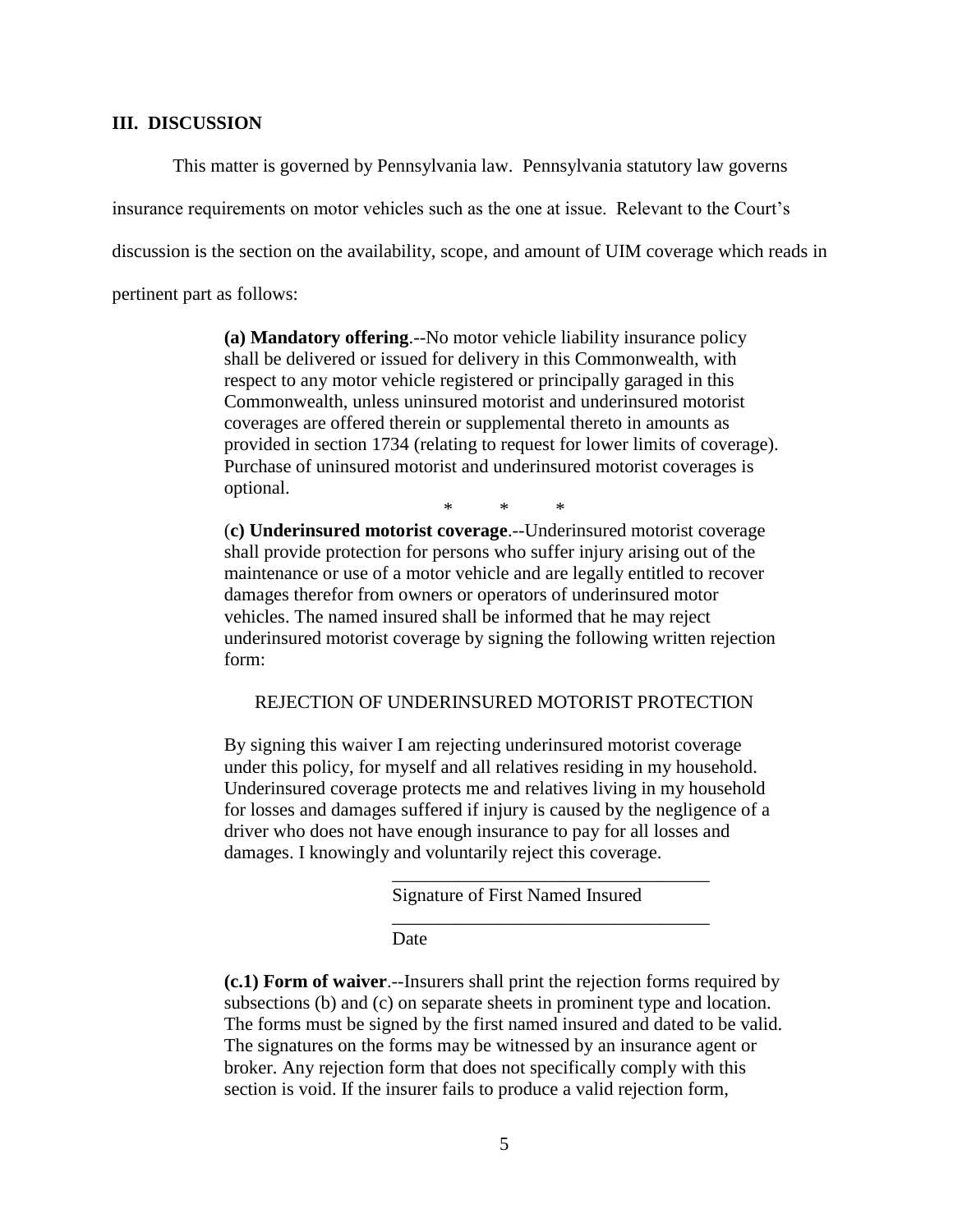### **III. DISCUSSION**

This matter is governed by Pennsylvania law. Pennsylvania statutory law governs

insurance requirements on motor vehicles such as the one at issue. Relevant to the Court's

discussion is the section on the availability, scope, and amount of UIM coverage which reads in

pertinent part as follows:

**(a) Mandatory offering**.--No motor vehicle liability insurance policy shall be delivered or issued for delivery in this Commonwealth, with respect to any motor vehicle registered or principally garaged in this Commonwealth, unless uninsured motorist and underinsured motorist coverages are offered therein or supplemental thereto in amounts as provided in section 1734 (relating to request for lower limits of coverage). Purchase of uninsured motorist and underinsured motorist coverages is optional.

\* \* \*

(**c) Underinsured motorist coverage**.--Underinsured motorist coverage shall provide protection for persons who suffer injury arising out of the maintenance or use of a motor vehicle and are legally entitled to recover damages therefor from owners or operators of underinsured motor vehicles. The named insured shall be informed that he may reject underinsured motorist coverage by signing the following written rejection form:

REJECTION OF UNDERINSURED MOTORIST PROTECTION

By signing this waiver I am rejecting underinsured motorist coverage under this policy, for myself and all relatives residing in my household. Underinsured coverage protects me and relatives living in my household for losses and damages suffered if injury is caused by the negligence of a driver who does not have enough insurance to pay for all losses and damages. I knowingly and voluntarily reject this coverage.

Signature of First Named Insured

\_\_\_\_\_\_\_\_\_\_\_\_\_\_\_\_\_\_\_\_\_\_\_\_\_\_\_\_\_\_\_\_\_\_

\_\_\_\_\_\_\_\_\_\_\_\_\_\_\_\_\_\_\_\_\_\_\_\_\_\_\_\_\_\_\_\_\_\_

Date

**(c.1) Form of waiver**.--Insurers shall print the rejection forms required by subsections (b) and (c) on separate sheets in prominent type and location. The forms must be signed by the first named insured and dated to be valid. The signatures on the forms may be witnessed by an insurance agent or broker. Any rejection form that does not specifically comply with this section is void. If the insurer fails to produce a valid rejection form,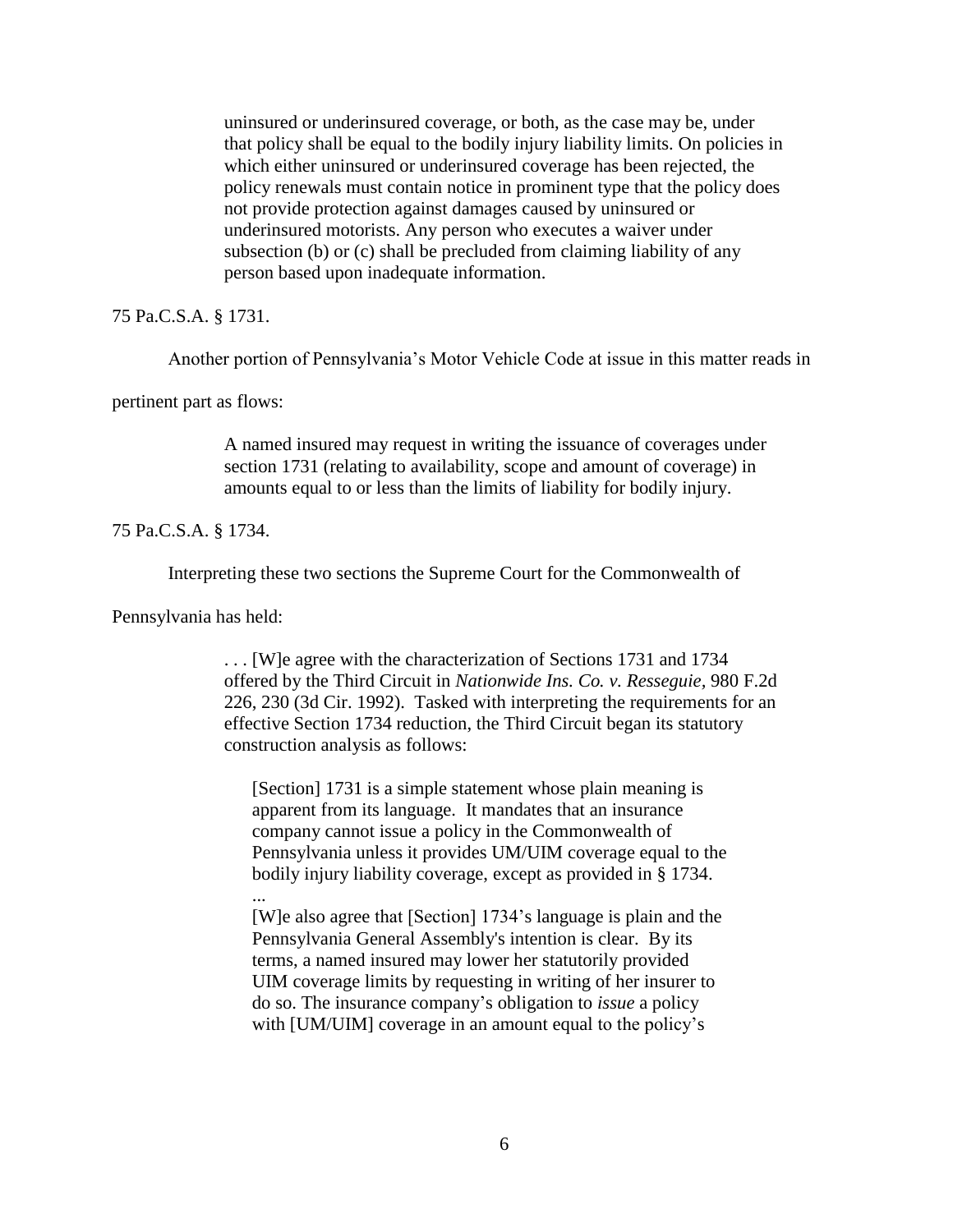uninsured or underinsured coverage, or both, as the case may be, under that policy shall be equal to the bodily injury liability limits. On policies in which either uninsured or underinsured coverage has been rejected, the policy renewals must contain notice in prominent type that the policy does not provide protection against damages caused by uninsured or underinsured motorists. Any person who executes a waiver under subsection (b) or (c) shall be precluded from claiming liability of any person based upon inadequate information.

75 Pa.C.S.A. § 1731.

Another portion of Pennsylvania's Motor Vehicle Code at issue in this matter reads in

pertinent part as flows:

A named insured may request in writing the issuance of coverages under section 1731 (relating to availability, scope and amount of coverage) in amounts equal to or less than the limits of liability for bodily injury.

75 Pa.C.S.A. § 1734.

Interpreting these two sections the Supreme Court for the Commonwealth of

Pennsylvania has held:

...

. . . [W]e agree with the characterization of Sections 1731 and 1734 offered by the Third Circuit in *Nationwide Ins. Co. v. Resseguie,* 980 F.2d 226, 230 (3d Cir. 1992). Tasked with interpreting the requirements for an effective Section 1734 reduction, the Third Circuit began its statutory construction analysis as follows:

[Section] 1731 is a simple statement whose plain meaning is apparent from its language. It mandates that an insurance company cannot issue a policy in the Commonwealth of Pennsylvania unless it provides UM/UIM coverage equal to the bodily injury liability coverage, except as provided in § 1734.

[W]e also agree that [Section] 1734's language is plain and the Pennsylvania General Assembly's intention is clear. By its terms, a named insured may lower her statutorily provided UIM coverage limits by requesting in writing of her insurer to do so. The insurance company's obligation to *issue* a policy with [UM/UIM] coverage in an amount equal to the policy's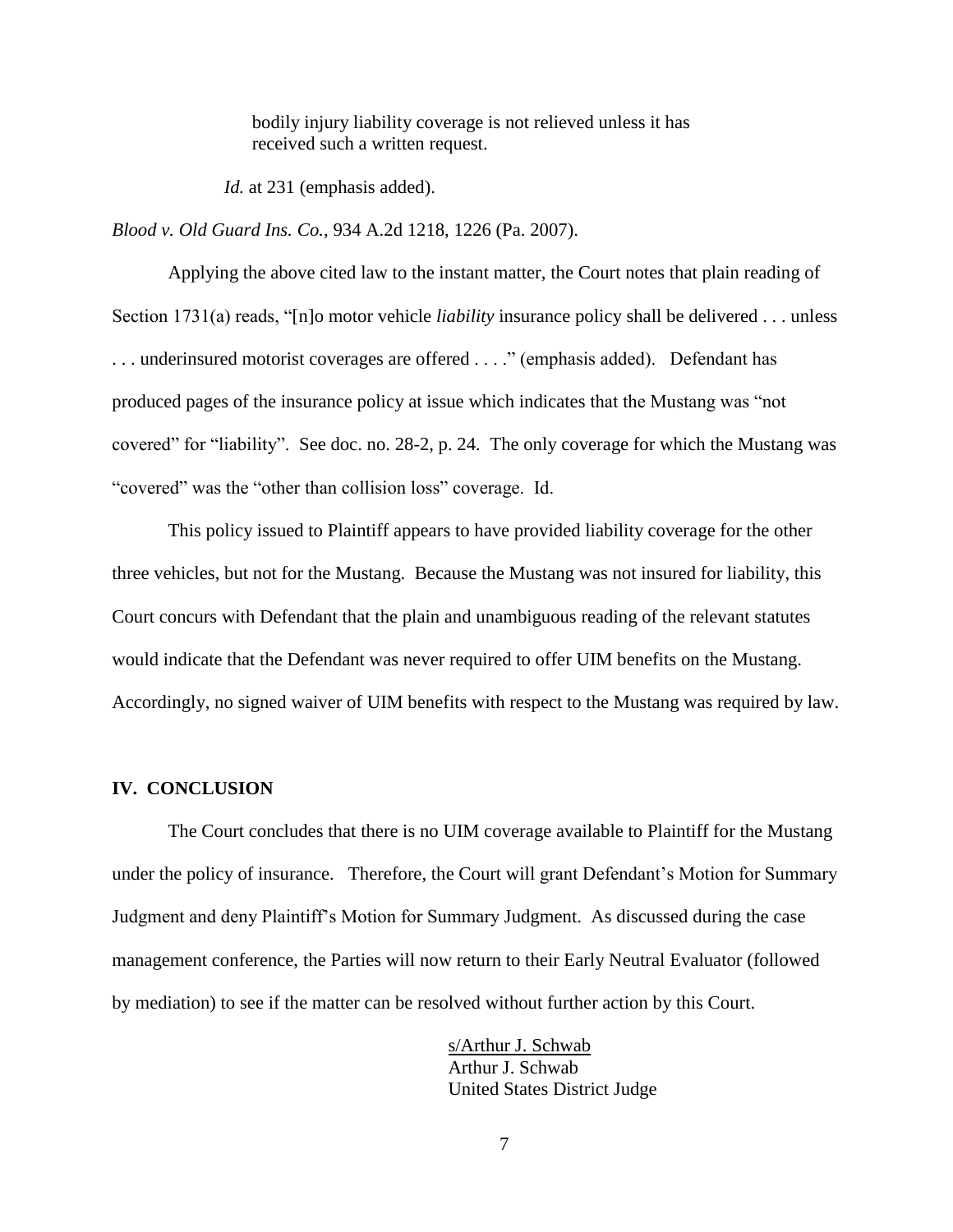bodily injury liability coverage is not relieved unless it has received such a written request.

*Id.* at 231 (emphasis added).

*Blood v. Old Guard Ins. Co.*, 934 A.2d 1218, 1226 (Pa. 2007).

Applying the above cited law to the instant matter, the Court notes that plain reading of Section 1731(a) reads, "[n]o motor vehicle *liability* insurance policy shall be delivered . . . unless . . . underinsured motorist coverages are offered . . . ." (emphasis added). Defendant has produced pages of the insurance policy at issue which indicates that the Mustang was "not covered" for "liability". See doc. no. 28-2, p. 24. The only coverage for which the Mustang was "covered" was the "other than collision loss" coverage. Id.

This policy issued to Plaintiff appears to have provided liability coverage for the other three vehicles, but not for the Mustang. Because the Mustang was not insured for liability, this Court concurs with Defendant that the plain and unambiguous reading of the relevant statutes would indicate that the Defendant was never required to offer UIM benefits on the Mustang. Accordingly, no signed waiver of UIM benefits with respect to the Mustang was required by law.

## **IV. CONCLUSION**

The Court concludes that there is no UIM coverage available to Plaintiff for the Mustang under the policy of insurance. Therefore, the Court will grant Defendant's Motion for Summary Judgment and deny Plaintiff's Motion for Summary Judgment. As discussed during the case management conference, the Parties will now return to their Early Neutral Evaluator (followed by mediation) to see if the matter can be resolved without further action by this Court.

> s/Arthur J. Schwab Arthur J. Schwab United States District Judge